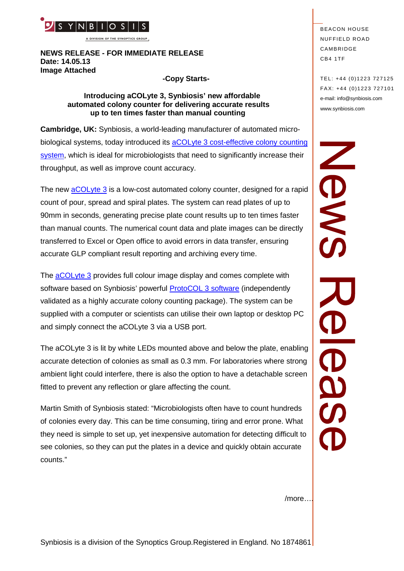

**A DIVISION OF THE SYNOPTICS GROUP**

### **NEWS RELEASE - FOR IMMEDIATE RELEASE Date: 14.05.13 Image Attached**

### **-Copy Starts-**

### **Introducing aCOLyte 3, Synbiosis' new affordable automated colony counter for delivering accurate results up to ten times faster than manual counting**

**Cambridge, UK:** Synbiosis, a world-leading manufacturer of automated microbiological systems, today introduced its [aCOLyte 3 cost-effective colony counting](http://www.synbiosis.com/acolyte-3/) [system,](http://www.synbiosis.com/acolyte-3/) which is ideal for microbiologists that need to significantly increase their throughput, as well as improve count accuracy.

The new [aCOLyte 3](http://www.synbiosis.com/acolyte-3/) is a low-cost automated colony counter, designed for a rapid count of pour, spread and spiral plates. The system can read plates of up to 90mm in seconds, generating precise plate count results up to ten times faster than manual counts. The numerical count data and plate images can be directly transferred to Excel or Open office to avoid errors in data transfer, ensuring accurate GLP compliant result reporting and archiving every time.

The [aCOLyte 3](http://www.synbiosis.com/acolyte-3/) provides full colour image display and comes complete with software based on Synbiosis' powerful [ProtoCOL 3 software](http://www.synbiosis.com/protocol-3/) (independently validated as a highly accurate colony counting package). The system can be supplied with a computer or scientists can utilise their own laptop or desktop PC and simply connect the aCOLyte 3 via a USB port.

The aCOLyte 3 is lit by white LEDs mounted above and below the plate, enabling accurate detection of colonies as small as 0.3 mm. For laboratories where strong ambient light could interfere, there is also the option to have a detachable screen fitted to prevent any reflection or glare affecting the count.

Martin Smith of Synbiosis stated: "Microbiologists often have to count hundreds of colonies every day. This can be time consuming, tiring and error prone. What they need is simple to set up, yet inexpensive automation for detecting difficult to see colonies, so they can put the plates in a device and quickly obtain accurate counts."

**BEACON HOUSE NUFFIELD ROAD** CAMBRIDGE CB4 1TF

TEL: +44 (0)1223 727125 FA X: +44 (0)1223 727101 e-mail: info@synbiosis.com www.synbiosis.com

SMON **OSS** 

/more….